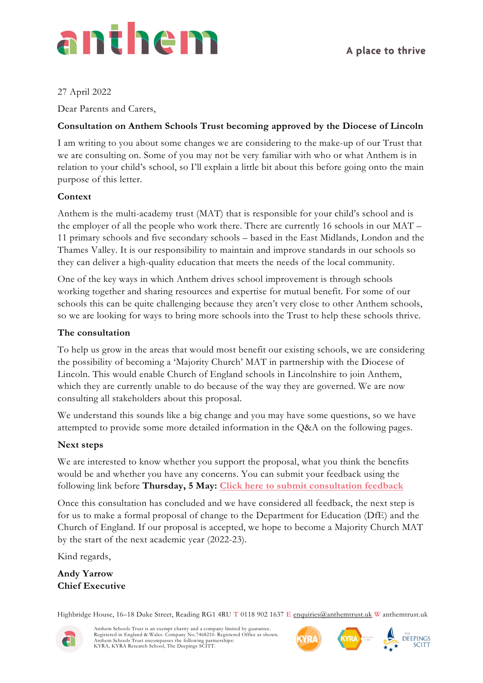

#### 27 April 2022

Dear Parents and Carers,

#### **Consultation on Anthem Schools Trust becoming approved by the Diocese of Lincoln**

I am writing to you about some changes we are considering to the make-up of our Trust that we are consulting on. Some of you may not be very familiar with who or what Anthem is in relation to your child's school, so I'll explain a little bit about this before going onto the main purpose of this letter.

#### **Context**

Anthem is the multi-academy trust (MAT) that is responsible for your child's school and is the employer of all the people who work there. There are currently 16 schools in our MAT – 11 primary schools and five secondary schools – based in the East Midlands, London and the Thames Valley. It is our responsibility to maintain and improve standards in our schools so they can deliver a high-quality education that meets the needs of the local community.

One of the key ways in which Anthem drives school improvement is through schools working together and sharing resources and expertise for mutual benefit. For some of our schools this can be quite challenging because they aren't very close to other Anthem schools, so we are looking for ways to bring more schools into the Trust to help these schools thrive.

#### **The consultation**

To help us grow in the areas that would most benefit our existing schools, we are considering the possibility of becoming a 'Majority Church' MAT in partnership with the Diocese of Lincoln. This would enable Church of England schools in Lincolnshire to join Anthem, which they are currently unable to do because of the way they are governed. We are now consulting all stakeholders about this proposal.

We understand this sounds like a big change and you may have some questions, so we have attempted to provide some more detailed information in the Q&A on the following pages.

#### **Next steps**

We are interested to know whether you support the proposal, what you think the benefits would be and whether you have any concerns. You can submit your feedback using the following link before **Thursday, 5 May: [Click here to submit consultation feedback](https://forms.office.com/Pages/ResponsePage.aspx?id=pGcNtDFve0GB0B6WvxpVXCp0fXhLuUtJpHs3QKJiaJxUOVlXR1k3WlI3WDJHQUpOVVRDM1hTNjRONy4u)**

Once this consultation has concluded and we have considered all feedback, the next step is for us to make a formal proposal of change to the Department for Education (DfE) and the Church of England. If our proposal is accepted, we hope to become a Majority Church MAT by the start of the next academic year (2022-23).

Kind regards,

**Andy Yarrow Chief Executive**

Highbridge House, 16–18 Duke Street, Reading RG1 4RU **T** 0118 902 1637 **E** [enquiries@anthemtrust.uk](mailto:enquiries@anthemtrust.uk) **W** anthemtrust.uk



Anthem Schools Trust is an exempt charity and a company limited by guarantee.<br>Registered in England & Wales. Company No.7468210. Registered Office as shown.<br>Anthem Schools Trust encompasses the following partnerships:<br>KYRA





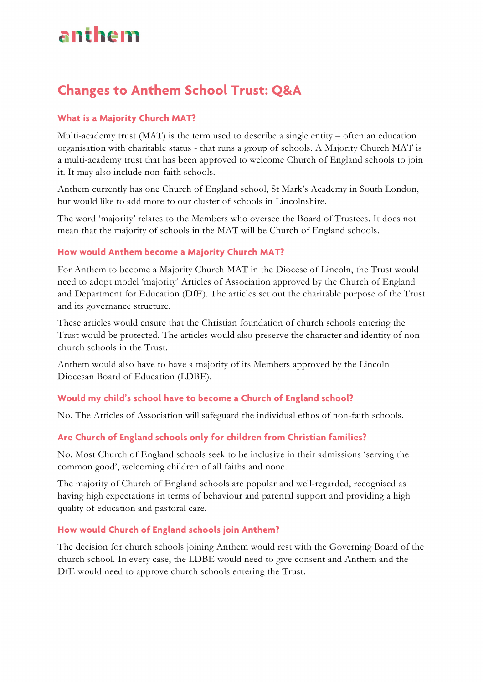# anthem

### **Changes to Anthem School Trust: Q&A**

#### **What is a Majority Church MAT?**

Multi-academy trust (MAT) is the term used to describe a single entity – often an education organisation with charitable status - that runs a group of schools. A Majority Church MAT is a multi-academy trust that has been approved to welcome Church of England schools to join it. It may also include non-faith schools.

Anthem currently has one Church of England school, St Mark's Academy in South London, but would like to add more to our cluster of schools in Lincolnshire.

The word 'majority' relates to the Members who oversee the Board of Trustees. It does not mean that the majority of schools in the MAT will be Church of England schools.

#### **How would Anthem become a Majority Church MAT?**

For Anthem to become a Majority Church MAT in the Diocese of Lincoln, the Trust would need to adopt model 'majority' Articles of Association approved by the Church of England and Department for Education (DfE). The articles set out the charitable purpose of the Trust and its governance structure.

These articles would ensure that the Christian foundation of church schools entering the Trust would be protected. The articles would also preserve the character and identity of nonchurch schools in the Trust.

Anthem would also have to have a majority of its Members approved by the Lincoln Diocesan Board of Education (LDBE).

#### **Would my child's school have to become a Church of England school?**

No. The Articles of Association will safeguard the individual ethos of non-faith schools.

### **Are Church of England schools only for children from Christian families?**

No. Most Church of England schools seek to be inclusive in their admissions 'serving the common good', welcoming children of all faiths and none.

The majority of Church of England schools are popular and well-regarded, recognised as having high expectations in terms of behaviour and parental support and providing a high quality of education and pastoral care.

#### **How would Church of England schools join Anthem?**

The decision for church schools joining Anthem would rest with the Governing Board of the church school. In every case, the LDBE would need to give consent and Anthem and the DfE would need to approve church schools entering the Trust.